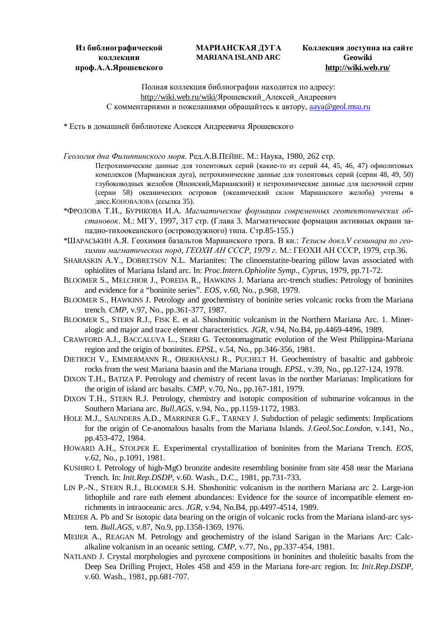**Из библиографической коллекции проф.А.А.Ярошевского**

## **МАРИАНСКАЯ ДУГА MARIANA ISLAND ARC**

## **Коллекция доступна на сайте Geowiki <http://wiki.web.ru/>**

Полная коллекция библиографии находится по адресу: <http://wiki.web.ru/wiki/>Ярошевский Алексей Андреевич С комментариями и пожеланиями обращайтесь к автору, [aaya@geol.msu.ru](mailto:aaya@geol.msu.ru)

\* Есть в домашней библиотеке Алексея Андреевича Ярошевского

*Геология дна Филиппинского моря*. Ред.А.В.ПЕЙВЕ. М.: Наука, 1980, 262 стр.

- Петрохимические данные для толеитовых серий (какие-то из серий 44, 45, 46, 47) офиолитовых комплексов (Марианская дуга), петрохимические данные для толеитовых серий (серии 48, 49, 50) глубоководных желобов (Японский,Марианский) и петрохимические данные для щелочной серии (серии 58) океанических островов (океанический склон Марианского желоба) учтены в дисс.КОНОВАЛОВА (ссылка 35).
- \*ФРОЛОВА Т.И., БУРИКОВА И.А. *Магматические формации современных геотектонических обстановок*. М.: МГУ, 1997, 317 стр. (Глава 3. Магматические формации активных окраин западно-тихоокеанского (островодужного) типа. Стр.85-155.)
- \*ШАРАСЬКИН А.Я. Геохимия базальтов Марианского трога. В кн.: *Тезисы докл.V семинара по геохимии магматических порд*, *ГЕОХИ АН СССР*, *1979 г*. М.: ГЕОХИ АН СССР, 1979, стр.36.
- SHARASKIN A.Y., DOBRETSOV N.L. Marianites: The clinoenstatite-bearing pillow lavas associated with ophiolites of Mariana Island arc. In: *Proc.Intern.Ophiolite Symp*., *Cyprus*, 1979, pp.71-72.
- BLOOMER S., MELCHIOR J., POREDA R., HAWKINS J. Mariana arc-trench studies: Petrology of boninites and evidence for a "boninite series". *EOS*, v.60, No., p.968, 1979.
- BLOOMER S., HAWKINS J. Petrology and geochemistry of boninite series volcanic rocks from the Mariana trench. *CMP*, v.97, No., pp.361-377, 1987.
- BLOOMER S., STERN R.J., FISK E. et al. Shoshonitic volcanism in the Northern Mariana Arc. 1. Mineralogic and major and trace element characteristics. *JGR*, v.94, No.B4, pp.4469-4496, 1989.
- CRAWFORD A.J., BACCALUVA L., SERRI G. Tectonomagmatic evolution of the West Philippina-Mariana region and the origin of boninites. *EPSL*, v.54, No., pp.346-356, 1981.
- DIETRICH V., EMMERMANN R., OBERHÄNSLI R., PUCHELT H. Geochemistry of basaltic and gabbroic rocks from the west Mariana baasin and the Mariana trough. *EPSL*, v.39, No., pp.127-124, 1978.
- DIXON T.H., BATIZA P. Petrology and chemistry of recent lavas in the norther Marianas: Implications for the origin of island arc basalts. *CMP*, v.70, No., pp.167-181, 1979.
- DIXON T.H., STERN R.J. Petrology, chemistry and isotopic composition of submarine volcanous in the Southern Mariana arc. *Bull.AGS*, v.94, No., pp.1159-1172, 1983.
- HOLE M.J., SAUNDERS A.D., MARRINER G.F., TARNEY J. Subduction of pelagic sediments: Implications for the origin of Ce-anomalous basalts from the Mariana Islands. *J.Geol.Soc.London*, v.141, No., pp.453-472, 1984.
- HOWARD A.H., STOLPER E. Experimental crystallization of boninites from the Mariana Trench. *EOS*, v.62, No., p.1091, 1981.
- KUSHIRO I. Petrology of high-MgO bronzite andesite resembling boninite from site 458 near the Mariana Trench. In: *Init.Rep.DSDP*, v.60. Wash., D.C., 1981, pp.731-733.
- LIN P.-N., STERN R.J., BLOOMER S.H. Shoshonitic volcanism in the northern Mariana arc 2. Large-ion lithophile and rare eath element abundances: Evidence for the source of incompatible element enrichments in intraoceanic arcs. *JGR*, v.94, No.B4, pp.4497-4514, 1989.
- MEIJER A. Pb and Sr isotopic data bearing on the origin of volcanic rocks from the Mariana island-arc system. *Bull.AGS*, v.87, No.9, pp.1358-1369, 1976.
- MEIJER A., REAGAN M. Petrology and geochemistry of the island Sarigan in the Marians Arc: Calcalkaline volcanism in an oceanic setting. *CMP*, v.77, No., pp.337-454, 1981.
- NATLAND J. Crystal morphologies and pyroxene compositions in boninites and tholeiitic basalts from the Deep Sea Drilling Project, Holes 458 and 459 in the Mariana fore-arc region. In: *Init.Rep.DSDP*, v.60. Wash., 1981, pp.681-707.